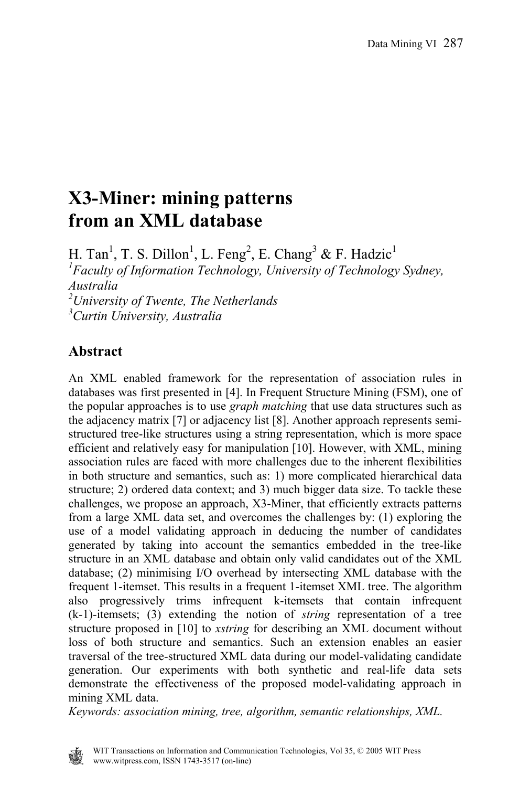# **X3-Miner: mining patterns from an XML database**

H. Tan<sup>1</sup>, T. S. Dillon<sup>1</sup>, L. Feng<sup>2</sup>, E. Chang<sup>3</sup> & F. Hadzic<sup>1</sup> *1 Faculty of Information Technology, University of Technology Sydney, Australia 2 University of Twente, The Netherlands 3 Curtin University, Australia* 

### **Abstract**

An XML enabled framework for the representation of association rules in databases was first presented in [4]. In Frequent Structure Mining (FSM), one of the popular approaches is to use *graph matching* that use data structures such as the adjacency matrix [7] or adjacency list [8]. Another approach represents semistructured tree-like structures using a string representation, which is more space efficient and relatively easy for manipulation [10]. However, with XML, mining association rules are faced with more challenges due to the inherent flexibilities in both structure and semantics, such as: 1) more complicated hierarchical data structure; 2) ordered data context; and 3) much bigger data size. To tackle these challenges, we propose an approach, X3-Miner, that efficiently extracts patterns from a large XML data set, and overcomes the challenges by: (1) exploring the use of a model validating approach in deducing the number of candidates generated by taking into account the semantics embedded in the tree-like structure in an XML database and obtain only valid candidates out of the XML database; (2) minimising I/O overhead by intersecting XML database with the frequent 1-itemset. This results in a frequent 1-itemset XML tree. The algorithm also progressively trims infrequent k-itemsets that contain infrequent (k-1)-itemsets; (3) extending the notion of *string* representation of a tree structure proposed in [10] to *xstring* for describing an XML document without loss of both structure and semantics. Such an extension enables an easier traversal of the tree-structured XML data during our model-validating candidate generation. Our experiments with both synthetic and real-life data sets demonstrate the effectiveness of the proposed model-validating approach in mining XML data.

*Keywords: association mining, tree, algorithm, semantic relationships, XML.* 

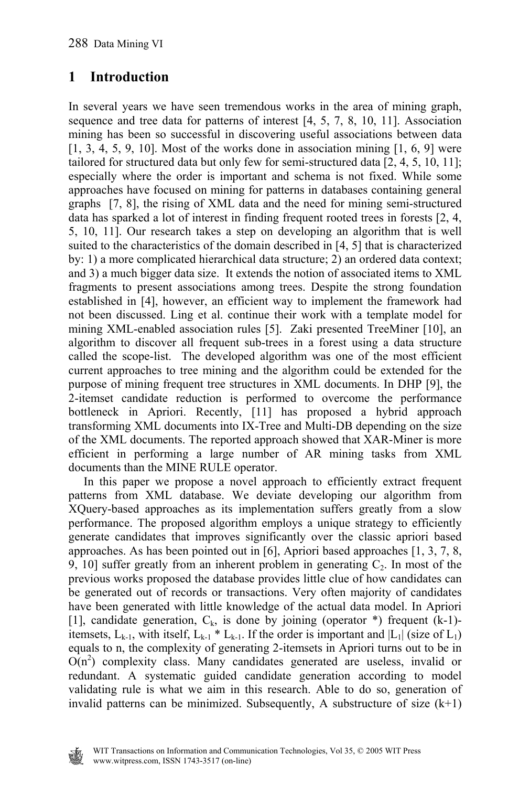### **1 Introduction**

In several years we have seen tremendous works in the area of mining graph, sequence and tree data for patterns of interest [4, 5, 7, 8, 10, 11]. Association mining has been so successful in discovering useful associations between data  $[1, 3, 4, 5, 9, 10]$ . Most of the works done in association mining  $[1, 6, 9]$  were tailored for structured data but only few for semi-structured data [2, 4, 5, 10, 11]; especially where the order is important and schema is not fixed. While some approaches have focused on mining for patterns in databases containing general graphs [7, 8], the rising of XML data and the need for mining semi-structured data has sparked a lot of interest in finding frequent rooted trees in forests [2, 4, 5, 10, 11]. Our research takes a step on developing an algorithm that is well suited to the characteristics of the domain described in [4, 5] that is characterized by: 1) a more complicated hierarchical data structure; 2) an ordered data context; and 3) a much bigger data size. It extends the notion of associated items to XML fragments to present associations among trees. Despite the strong foundation established in [4], however, an efficient way to implement the framework had not been discussed. Ling et al. continue their work with a template model for mining XML-enabled association rules [5].Zaki presented TreeMiner [10], an algorithm to discover all frequent sub-trees in a forest using a data structure called the scope-list. The developed algorithm was one of the most efficient current approaches to tree mining and the algorithm could be extended for the purpose of mining frequent tree structures in XML documents. In DHP [9], the 2-itemset candidate reduction is performed to overcome the performance bottleneck in Apriori. Recently, [11] has proposed a hybrid approach transforming XML documents into IX-Tree and Multi-DB depending on the size of the XML documents. The reported approach showed that XAR-Miner is more efficient in performing a large number of AR mining tasks from XML documents than the MINE RULE operator.

 In this paper we propose a novel approach to efficiently extract frequent patterns from XML database. We deviate developing our algorithm from XQuery-based approaches as its implementation suffers greatly from a slow performance. The proposed algorithm employs a unique strategy to efficiently generate candidates that improves significantly over the classic apriori based approaches. As has been pointed out in [6], Apriori based approaches [1, 3, 7, 8, 9, 10] suffer greatly from an inherent problem in generating  $C_2$ . In most of the previous works proposed the database provides little clue of how candidates can be generated out of records or transactions. Very often majority of candidates have been generated with little knowledge of the actual data model. In Apriori [1], candidate generation,  $C_k$ , is done by joining (operator \*) frequent (k-1)itemsets,  $L_{k-1}$ , with itself,  $L_{k-1} * L_{k-1}$ . If the order is important and  $|L_1|$  (size of  $L_1$ ) equals to n, the complexity of generating 2-itemsets in Apriori turns out to be in  $O(n^2)$  complexity class. Many candidates generated are useless, invalid or redundant. A systematic guided candidate generation according to model validating rule is what we aim in this research. Able to do so, generation of invalid patterns can be minimized. Subsequently, A substructure of size  $(k+1)$ 

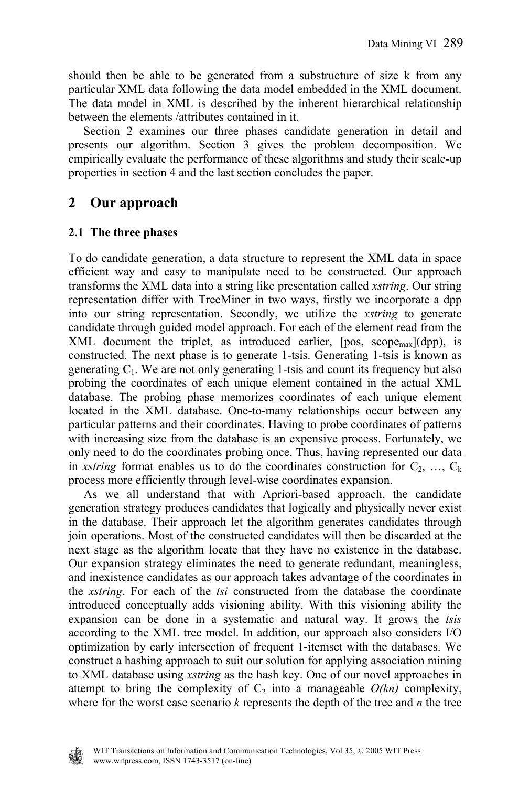should then be able to be generated from a substructure of size k from any particular XML data following the data model embedded in the XML document. The data model in XML is described by the inherent hierarchical relationship between the elements /attributes contained in it.

 Section 2 examines our three phases candidate generation in detail and presents our algorithm. Section 3 gives the problem decomposition. We empirically evaluate the performance of these algorithms and study their scale-up properties in section 4 and the last section concludes the paper.

### **2 Our approach**

### **2.1 The three phases**

To do candidate generation, a data structure to represent the XML data in space efficient way and easy to manipulate need to be constructed. Our approach transforms the XML data into a string like presentation called *xstring*. Our string representation differ with TreeMiner in two ways, firstly we incorporate a dpp into our string representation. Secondly, we utilize the *xstring* to generate candidate through guided model approach. For each of the element read from the XML document the triplet, as introduced earlier,  $[pos, scope_{max}](dpp)$ , is constructed. The next phase is to generate 1-tsis. Generating 1-tsis is known as generating  $C_1$ . We are not only generating 1-tsis and count its frequency but also probing the coordinates of each unique element contained in the actual XML database. The probing phase memorizes coordinates of each unique element located in the XML database. One-to-many relationships occur between any particular patterns and their coordinates. Having to probe coordinates of patterns with increasing size from the database is an expensive process. Fortunately, we only need to do the coordinates probing once. Thus, having represented our data in *xstring* format enables us to do the coordinates construction for  $C_2, \ldots, C_k$ process more efficiently through level-wise coordinates expansion.

 As we all understand that with Apriori-based approach, the candidate generation strategy produces candidates that logically and physically never exist in the database. Their approach let the algorithm generates candidates through join operations. Most of the constructed candidates will then be discarded at the next stage as the algorithm locate that they have no existence in the database. Our expansion strategy eliminates the need to generate redundant, meaningless, and inexistence candidates as our approach takes advantage of the coordinates in the *xstring*. For each of the *tsi* constructed from the database the coordinate introduced conceptually adds visioning ability. With this visioning ability the expansion can be done in a systematic and natural way. It grows the *tsis* according to the XML tree model. In addition, our approach also considers I/O optimization by early intersection of frequent 1-itemset with the databases. We construct a hashing approach to suit our solution for applying association mining to XML database using *xstring* as the hash key. One of our novel approaches in attempt to bring the complexity of  $C_2$  into a manageable  $O(kn)$  complexity, where for the worst case scenario *k* represents the depth of the tree and *n* the tree

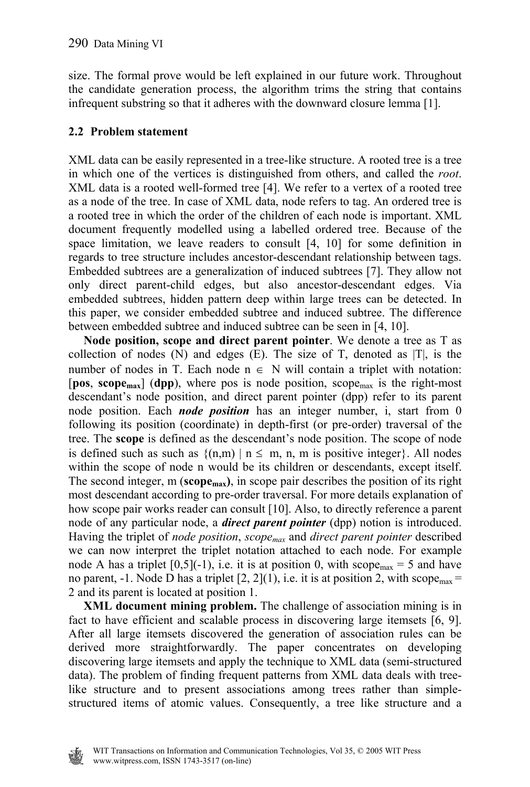size. The formal prove would be left explained in our future work. Throughout the candidate generation process, the algorithm trims the string that contains infrequent substring so that it adheres with the downward closure lemma [1].

### **2.2 Problem statement**

XML data can be easily represented in a tree-like structure. A rooted tree is a tree in which one of the vertices is distinguished from others, and called the *root*. XML data is a rooted well-formed tree [4]. We refer to a vertex of a rooted tree as a node of the tree. In case of XML data, node refers to tag. An ordered tree is a rooted tree in which the order of the children of each node is important. XML document frequently modelled using a labelled ordered tree. Because of the space limitation, we leave readers to consult [4, 10] for some definition in regards to tree structure includes ancestor-descendant relationship between tags. Embedded subtrees are a generalization of induced subtrees [7]. They allow not only direct parent-child edges, but also ancestor-descendant edges. Via embedded subtrees, hidden pattern deep within large trees can be detected. In this paper, we consider embedded subtree and induced subtree. The difference between embedded subtree and induced subtree can be seen in [4, 10].

 **Node position, scope and direct parent pointer**. We denote a tree as T as collection of nodes  $(N)$  and edges  $(E)$ . The size of T, denoted as  $|T|$ , is the number of nodes in T. Each node  $n \in N$  will contain a triplet with notation: [**pos**, **scopemax**] (**dpp**), where pos is node position, scopemax is the right-most descendant's node position, and direct parent pointer (dpp) refer to its parent node position. Each *node position* has an integer number, i, start from 0 following its position (coordinate) in depth-first (or pre-order) traversal of the tree. The **scope** is defined as the descendant's node position. The scope of node is defined such as such as  ${(n,m) | n \le m, n, m}$  is positive integer. All nodes within the scope of node n would be its children or descendants, except itself. The second integer, m (**scopemax)**, in scope pair describes the position of its right most descendant according to pre-order traversal. For more details explanation of how scope pair works reader can consult [10]. Also, to directly reference a parent node of any particular node, a *direct parent pointer* (dpp) notion is introduced. Having the triplet of *node position*, *scopemax* and *direct parent pointer* described we can now interpret the triplet notation attached to each node. For example node A has a triplet  $[0,5]$ (-1), i.e. it is at position 0, with scope<sub>max</sub> = 5 and have no parent, -1. Node D has a triplet  $[2, 2](1)$ , i.e. it is at position 2, with scope<sub>max</sub> = 2 and its parent is located at position 1.

 **XML document mining problem.** The challenge of association mining is in fact to have efficient and scalable process in discovering large itemsets [6, 9]. After all large itemsets discovered the generation of association rules can be derived more straightforwardly. The paper concentrates on developing discovering large itemsets and apply the technique to XML data (semi-structured data). The problem of finding frequent patterns from XML data deals with treelike structure and to present associations among trees rather than simplestructured items of atomic values. Consequently, a tree like structure and a

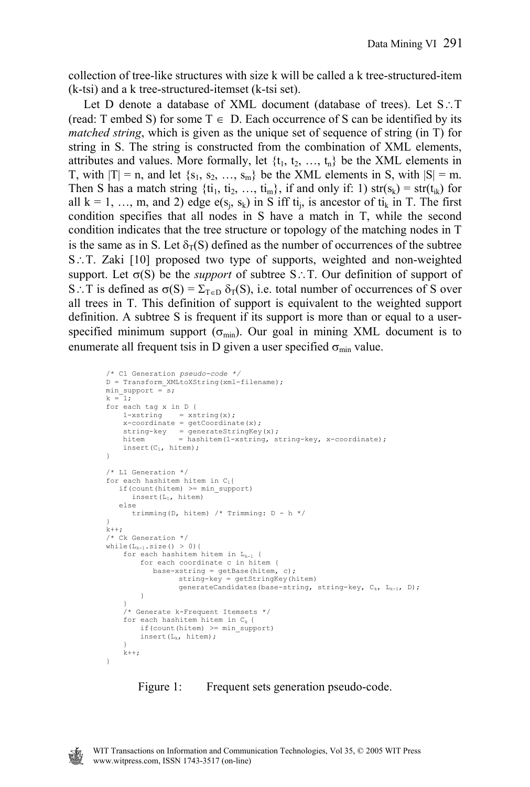collection of tree-like structures with size k will be called a k tree-structured-item (k-tsi) and a k tree-structured-itemset (k-tsi set).

 Let D denote a database of XML document (database of trees). Let S∴T (read: T embed S) for some  $T \in D$ . Each occurrence of S can be identified by its *matched string*, which is given as the unique set of sequence of string (in T) for string in S. The string is constructed from the combination of XML elements, attributes and values. More formally, let  $\{t_1, t_2, ..., t_n\}$  be the XML elements in T, with  $|T| = n$ , and let  $\{s_1, s_2, ..., s_m\}$  be the XML elements in S, with  $|S| = m$ . Then S has a match string  $\{t_{i_1}, t_{i_2}, ..., t_{i_m}\}$ , if and only if: 1) str( $s_k$ ) = str( $t_{ik}$ ) for all  $k = 1, ..., m$ , and 2) edge  $e(s_i, s_k)$  in S iff  $t_i$ , is ancestor of  $t_i$  in T. The first condition specifies that all nodes in S have a match in T, while the second condition indicates that the tree structure or topology of the matching nodes in T is the same as in S. Let  $\delta_T(S)$  defined as the number of occurrences of the subtree S∴T. Zaki [10] proposed two type of supports, weighted and non-weighted support. Let σ(S) be the *support* of subtree S∴T. Our definition of support of S∴T is defined as  $\sigma(S) = \sum_{T \in D} \delta_T(S)$ , i.e. total number of occurrences of S over all trees in T. This definition of support is equivalent to the weighted support definition. A subtree S is frequent if its support is more than or equal to a userspecified minimum support ( $\sigma_{\text{min}}$ ). Our goal in mining XML document is to enumerate all frequent tsis in D given a user specified  $\sigma_{\min}$  value.

```
/* C1 Generation pseudo-code */ 
D = Transform_XMLtoXString(xml-filename); 
min_support = s;
k = 1:
for each tag x in D { 
    1-xstrinq = xstrinq(x);x-coordinate = getCoordinate(x);
 string-key = generateStringKey(x); 
 hitem = hashitem(1-xstring, string-key, x-coordinate); 
    insert(C_1, \text{hitem});} 
/* L1 Generation */ 
for each hashitem hitem in C<sub>1</sub>{
    if(count(hitem) >= min_support) 
      insert(L_1, hitem) else 
       trimming(D, hitem) /* Trimming: D - h */
} 
k++:
/* Ck Generation */ 
while(L_{k-1}.size() > 0){
    for each hashitem hitem in L_{k-1} {
         for each coordinate c in hitem { 
            base-xstring = getBase(hitem, c); 
                   string-key = getStringKey(hitem) 
                  generateCandidates(base-string, string-key, C_k, L_{k-1}, D);
         } 
     } 
     /* Generate k-Frequent Itemsets */ 
    for each hashitem hitem in C. {
         if(count(hitem) >= min_support) 
        insert(L_k, hitem);\rightarrowk++;}
```
#### Figure 1: Frequent sets generation pseudo-code.

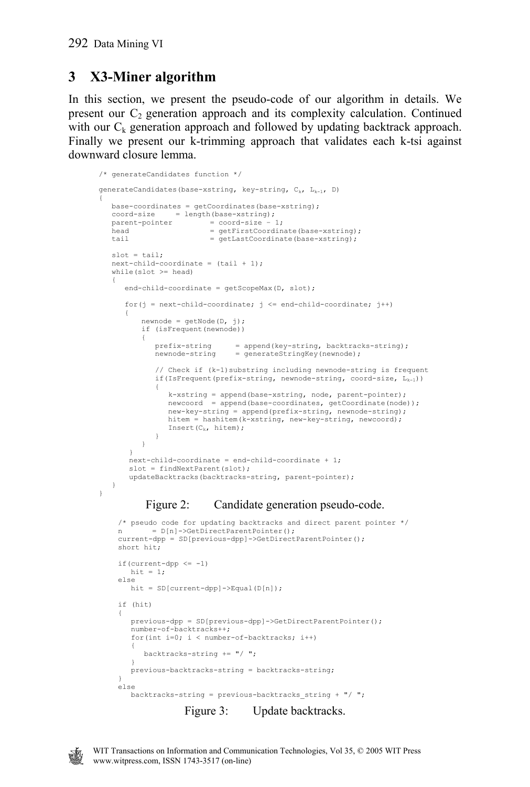### **3 X3-Miner algorithm**

In this section, we present the pseudo-code of our algorithm in details. We present our  $C_2$  generation approach and its complexity calculation. Continued with our  $C_k$  generation approach and followed by updating backtrack approach. Finally we present our k-trimming approach that validates each k-tsi against downward closure lemma.

```
/* generateCandidates function */ 
generateCandidates(base-xstring, key-string, C_k, L_{k-1}, D)
{ 
     base-coordinates = getCoordinates(base-xstring); 
   coord-size = length(base-xstring);<br>parent-pointer = coord-size -\begin{array}{l} \text{parent-pointer} \\ \text{head} \end{array} = \begin{array}{l} \text{concat}-\text{size} \\ \text{setFirstCoordinate} \end{array}head = getFirstCoordinate(base-xstring);<br>tail = getTastCoordinate(base-xstring);
                                = qetLastCoordinate(base-xstring);
    slot = tail:
    next-child-coordinate = (tail + 1); while(slot >= head) 
\leftarrowend-child-coordinate = qetScopeMax(D, slot);
       for(j = next-child-coordinate; j \le end-child-coordinate; j++)
\sim \sim \sim \sim \sim \simnewnode = qetNode(D, i); if (isFrequent(newnode)) 
\left\{ \begin{array}{cc} 0 & 0 & 0 \\ 0 & 0 & 0 \end{array} \right\}prefix-string = append(key-string, backtracks-string);<br>newnode-string = qenerateStringKey(newnode);
                                        = generateStringKey(newnode);
                  // Check if (k-1)substring including newnode-string is frequent 
                if(IsFrequent(prefix-string, newnode-string, coord-size, L_{k-1}))
and the state of the state of
                     k-xstring = append(base-xstring, node, parent-pointer); 
                     newcoord = append(base-coordinates, getCoordinate(node)); 
                     new-key-string = append(prefix-string, newnode-string); 
                    hitem = hashitem(k-xstring, new-key-string, newcoord);
                 Insert(C_k, hitem);
 } 
         \begin{array}{c} \longrightarrow \\ \longrightarrow \end{array} } 
         next-child-coordinate = end-child-coordinate + 1; 
        slot = findNextParent(slot);
         updateBacktracks(backtracks-string, parent-pointer); 
     } 
              Figure 2: Candidate generation pseudo-code.
```

```
/* pseudo code for updating backtracks and direct parent pointer */<br>n = D[n]-2GatDirart Parent Pointer()= D[n]->GetDirectParentPointer();
current-dpp = SD[previous-dpp]->GetDirectParentPointer(); 
short hit; 
if(current-dpp <= -1) 
   hit = 1;
else 
   hit = SD[current-dpp]->Equal(D[n]);
if (hit) 
{ 
    previous-dpp = SD[previous-dpp]->GetDirectParentPointer(); 
    number-of-backtracks++; 
    for(int i=0; i < number-of-backtracks; i++) 
\leftarrow backtracks-string += "/ "; 
   \overline{ } previous-backtracks-string = backtracks-string; 
} 
else 
    backtracks-string = previous-backtracks_string + "/ ";
```
Figure 3: Update backtracks.



}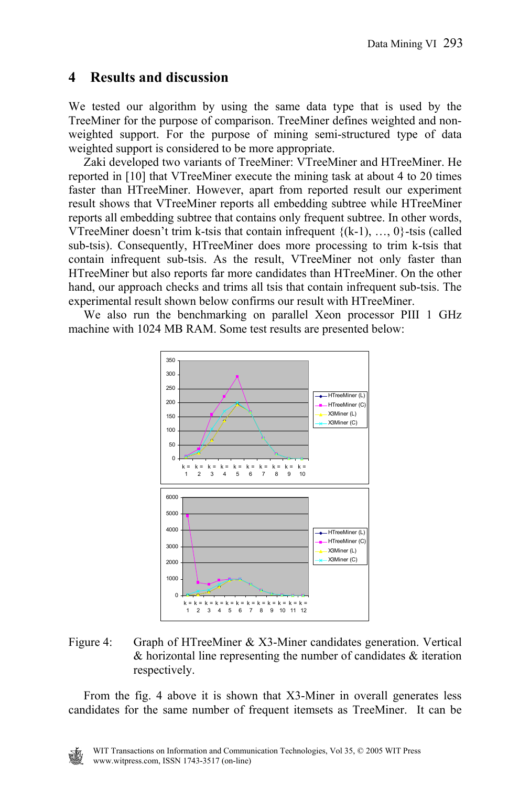### **4 Results and discussion**

We tested our algorithm by using the same data type that is used by the TreeMiner for the purpose of comparison. TreeMiner defines weighted and nonweighted support. For the purpose of mining semi-structured type of data weighted support is considered to be more appropriate.

 Zaki developed two variants of TreeMiner: VTreeMiner and HTreeMiner. He reported in [10] that VTreeMiner execute the mining task at about 4 to 20 times faster than HTreeMiner. However, apart from reported result our experiment result shows that VTreeMiner reports all embedding subtree while HTreeMiner reports all embedding subtree that contains only frequent subtree. In other words, VTreeMiner doesn't trim k-tsis that contain infrequent  $\{(k-1), \ldots, 0\}$ -tsis (called sub-tsis). Consequently, HTreeMiner does more processing to trim k-tsis that contain infrequent sub-tsis. As the result, VTreeMiner not only faster than HTreeMiner but also reports far more candidates than HTreeMiner. On the other hand, our approach checks and trims all tsis that contain infrequent sub-tsis. The experimental result shown below confirms our result with HTreeMiner.

 We also run the benchmarking on parallel Xeon processor PIII 1 GHz machine with 1024 MB RAM. Some test results are presented below:



Figure 4: Graph of HTreeMiner & X3-Miner candidates generation. Vertical & horizontal line representing the number of candidates & iteration respectively.

 From the fig. 4 above it is shown that X3-Miner in overall generates less candidates for the same number of frequent itemsets as TreeMiner. It can be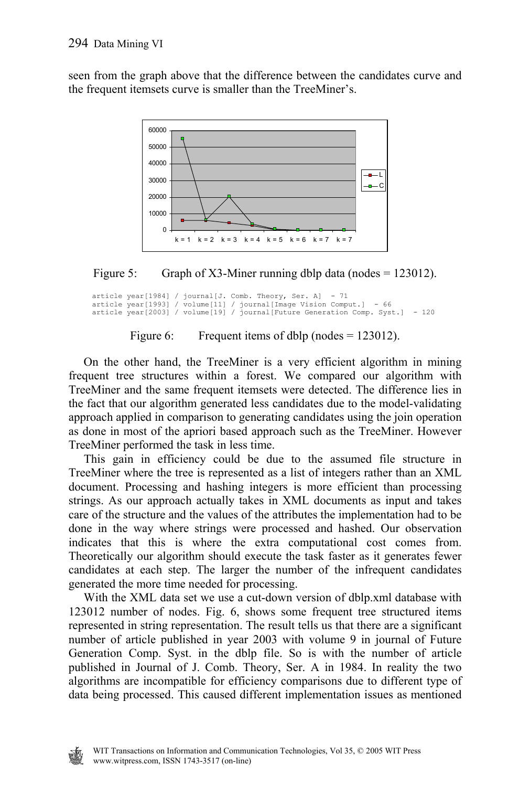seen from the graph above that the difference between the candidates curve and the frequent itemsets curve is smaller than the TreeMiner's.





```
article year[1984] / journal[J. Comb. Theory, Ser. A] -71article year[1993] / volume[11] / journal[Image Vision Comput.] - 66 
article year[2003] / volume[19] / journal[Future Generation Comp. Syst.] - 120
```

```
Figure 6: Frequent items of dblp (nodes = 123012).
```
 On the other hand, the TreeMiner is a very efficient algorithm in mining frequent tree structures within a forest. We compared our algorithm with TreeMiner and the same frequent itemsets were detected. The difference lies in the fact that our algorithm generated less candidates due to the model-validating approach applied in comparison to generating candidates using the join operation as done in most of the apriori based approach such as the TreeMiner. However TreeMiner performed the task in less time.

 This gain in efficiency could be due to the assumed file structure in TreeMiner where the tree is represented as a list of integers rather than an XML document. Processing and hashing integers is more efficient than processing strings. As our approach actually takes in XML documents as input and takes care of the structure and the values of the attributes the implementation had to be done in the way where strings were processed and hashed. Our observation indicates that this is where the extra computational cost comes from. Theoretically our algorithm should execute the task faster as it generates fewer candidates at each step. The larger the number of the infrequent candidates generated the more time needed for processing.

 With the XML data set we use a cut-down version of dblp.xml database with 123012 number of nodes. Fig. 6, shows some frequent tree structured items represented in string representation. The result tells us that there are a significant number of article published in year 2003 with volume 9 in journal of Future Generation Comp. Syst. in the dblp file. So is with the number of article published in Journal of J. Comb. Theory, Ser. A in 1984. In reality the two algorithms are incompatible for efficiency comparisons due to different type of data being processed. This caused different implementation issues as mentioned

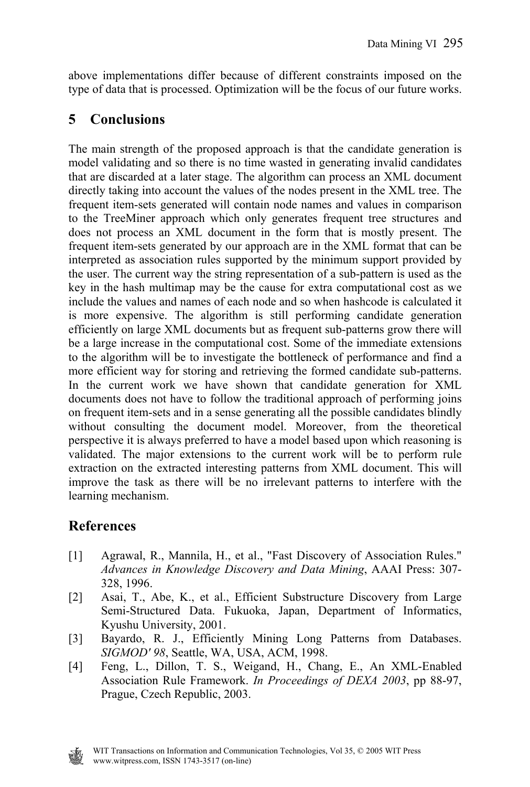above implementations differ because of different constraints imposed on the type of data that is processed. Optimization will be the focus of our future works.

# **5 Conclusions**

The main strength of the proposed approach is that the candidate generation is model validating and so there is no time wasted in generating invalid candidates that are discarded at a later stage. The algorithm can process an XML document directly taking into account the values of the nodes present in the XML tree. The frequent item-sets generated will contain node names and values in comparison to the TreeMiner approach which only generates frequent tree structures and does not process an XML document in the form that is mostly present. The frequent item-sets generated by our approach are in the XML format that can be interpreted as association rules supported by the minimum support provided by the user. The current way the string representation of a sub-pattern is used as the key in the hash multimap may be the cause for extra computational cost as we include the values and names of each node and so when hashcode is calculated it is more expensive. The algorithm is still performing candidate generation efficiently on large XML documents but as frequent sub-patterns grow there will be a large increase in the computational cost. Some of the immediate extensions to the algorithm will be to investigate the bottleneck of performance and find a more efficient way for storing and retrieving the formed candidate sub-patterns. In the current work we have shown that candidate generation for XML documents does not have to follow the traditional approach of performing joins on frequent item-sets and in a sense generating all the possible candidates blindly without consulting the document model. Moreover, from the theoretical perspective it is always preferred to have a model based upon which reasoning is validated. The major extensions to the current work will be to perform rule extraction on the extracted interesting patterns from XML document. This will improve the task as there will be no irrelevant patterns to interfere with the learning mechanism.

## **References**

- [1] Agrawal, R., Mannila, H., et al., "Fast Discovery of Association Rules." *Advances in Knowledge Discovery and Data Mining*, AAAI Press: 307- 328, 1996.
- [2] Asai, T., Abe, K., et al., Efficient Substructure Discovery from Large Semi-Structured Data. Fukuoka, Japan, Department of Informatics, Kyushu University, 2001.
- [3] Bayardo, R. J., Efficiently Mining Long Patterns from Databases. *SIGMOD' 98*, Seattle, WA, USA, ACM, 1998.
- [4] Feng, L., Dillon, T. S., Weigand, H., Chang, E., An XML-Enabled Association Rule Framework. *In Proceedings of DEXA 2003*, pp 88-97, Prague, Czech Republic, 2003.